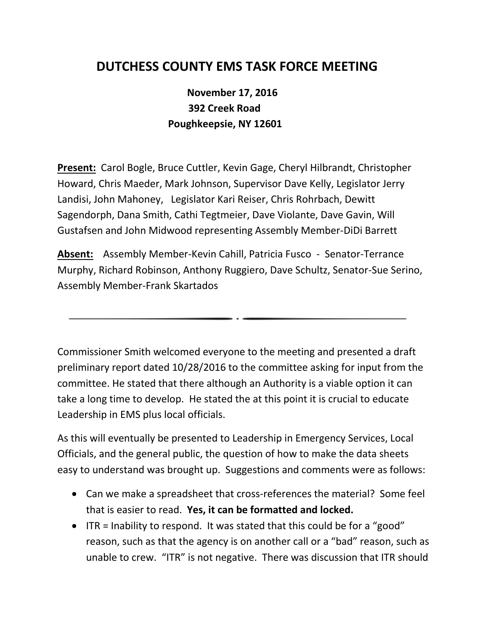## **DUTCHESS COUNTY EMS TASK FORCE MEETING**

## **November 17, 2016 392 Creek Road Poughkeepsie, NY 12601**

**Present:** Carol Bogle, Bruce Cuttler, Kevin Gage, Cheryl Hilbrandt, Christopher Howard, Chris Maeder, Mark Johnson, Supervisor Dave Kelly, Legislator Jerry Landisi, John Mahoney, Legislator Kari Reiser, Chris Rohrbach, Dewitt Sagendorph, Dana Smith, Cathi Tegtmeier, Dave Violante, Dave Gavin, Will Gustafsen and John Midwood representing Assembly Member-DiDi Barrett

**Absent:** Assembly Member-Kevin Cahill, Patricia Fusco - Senator-Terrance Murphy, Richard Robinson, Anthony Ruggiero, Dave Schultz, Senator-Sue Serino, Assembly Member-Frank Skartados

Commissioner Smith welcomed everyone to the meeting and presented a draft preliminary report dated 10/28/2016 to the committee asking for input from the committee. He stated that there although an Authority is a viable option it can take a long time to develop. He stated the at this point it is crucial to educate Leadership in EMS plus local officials.

As this will eventually be presented to Leadership in Emergency Services, Local Officials, and the general public, the question of how to make the data sheets easy to understand was brought up. Suggestions and comments were as follows:

- Can we make a spreadsheet that cross-references the material? Some feel that is easier to read. **Yes, it can be formatted and locked.**
- ITR = Inability to respond. It was stated that this could be for a "good" reason, such as that the agency is on another call or a "bad" reason, such as unable to crew. "ITR" is not negative. There was discussion that ITR should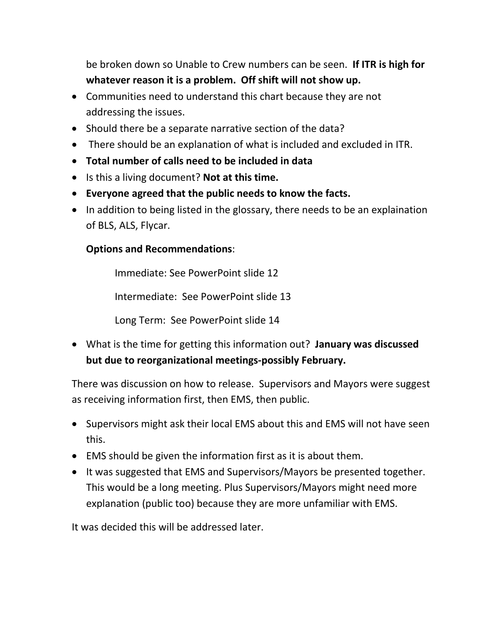be broken down so Unable to Crew numbers can be seen. **If ITR is high for whatever reason it is a problem. Off shift will not show up.**

- Communities need to understand this chart because they are not addressing the issues.
- Should there be a separate narrative section of the data?
- There should be an explanation of what is included and excluded in ITR.
- **Total number of calls need to be included in data**
- Is this a living document? **Not at this time.**
- **Everyone agreed that the public needs to know the facts.**
- In addition to being listed in the glossary, there needs to be an explaination of BLS, ALS, Flycar.

## **Options and Recommendations**:

Immediate: See PowerPoint slide 12

Intermediate: See PowerPoint slide 13

Long Term: See PowerPoint slide 14

• What is the time for getting this information out? **January was discussed but due to reorganizational meetings-possibly February.**

There was discussion on how to release. Supervisors and Mayors were suggest as receiving information first, then EMS, then public.

- Supervisors might ask their local EMS about this and EMS will not have seen this.
- EMS should be given the information first as it is about them.
- It was suggested that EMS and Supervisors/Mayors be presented together. This would be a long meeting. Plus Supervisors/Mayors might need more explanation (public too) because they are more unfamiliar with EMS.

It was decided this will be addressed later.